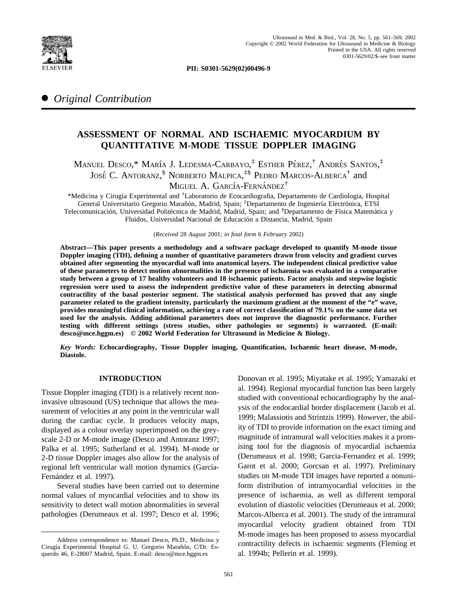

**PII: S0301-5629(02)00496-9**

# ● *Original Contribution*

# **ASSESSMENT OF NORMAL AND ISCHAEMIC MYOCARDIUM BY QUANTITATIVE M-MODE TISSUE DOPPLER IMAGING**

Manuel Desco,\* María J. Ledesma-Carbayo,<sup>‡</sup> Esther Pérez,<sup>†</sup> Andrés Santos,<sup>‡</sup> JOSÉ C. ANTORANZ, <sup>§</sup> NORBERTO MALPICA,<sup>‡§</sup> PEDRO MARCOS-ALBERCA<sup>†</sup> and MIGUEL A. GARCÍA-FERNÁNDEZ<sup>†</sup>

\*Medicina y Cirugía Experimental and <sup>†</sup>Laboratorio de Ecocardiografia, Departamento de Cardiologia, Hospital General Universitario Gregorio Marañón, Madrid, Spain; <sup>‡</sup>Departamento de Ingeniería Electrónica, ETSI Telecomunicación, Universidad Politécnica de Madrid, Madrid, Spain; and <sup>§</sup>Departamento de Física Matemática y Fluidos, Universidad Nacional de Educación a Distancia, Madrid, Spain

(*Received* 28 *August* 2001; *in final form* 6 *February* 2002)

**Abstract—This paper presents a methodology and a software package developed to quantify M-mode tissue Doppler imaging (TDI), defining a number of quantitative parameters drawn from velocity and gradient curves obtained after segmenting the myocardial wall into anatomical layers. The independent clinical predictive value of these parameters to detect motion abnormalities in the presence of ischaemia was evaluated in a comparative study between a group of 17 healthy volunteers and 18 ischaemic patients. Factor analysis and stepwise logistic regression were used to assess the independent predictive value of these parameters in detecting abnormal contractility of the basal posterior segment. The statistical analysis performed has proved that any single parameter related to the gradient intensity, particularly the maximum gradient at the moment of the "e" wave, provides meaningful clinical information, achieving a rate of correct classification of 79.1% on the same data set used for the analysis. Adding additional parameters does not improve the diagnostic performance. Further testing with different settings (stress studies, other pathologies or segments) is warranted. (E-mail: desco@mce.hggm.es) © 2002 World Federation for Ultrasound in Medicine & Biology.**

*Key Words:* **Echocardiography, Tissue Doppler imaging, Quantification, Ischaemic heart disease, M-mode, Diastole.**

# **INTRODUCTION**

Tissue Doppler imaging (TDI) is a relatively recent noninvasive ultrasound (US) technique that allows the measurement of velocities at any point in the ventricular wall during the cardiac cycle. It produces velocity maps, displayed as a colour overlay superimposed on the greyscale 2-D or M-mode image (Desco and Antoranz 1997; Palka et al. 1995; Sutherland et al. 1994). M-mode or 2-D tissue Doppler images also allow for the analysis of regional left ventricular wall motion dynamics (García-Fernández et al. 1997).

Several studies have been carried out to determine normal values of myocardial velocities and to show its sensitivity to detect wall motion abnormalities in several pathologies (Derumeaux et al. 1997; Desco et al. 1996; Donovan et al. 1995; Miyatake et al. 1995; Yamazaki et al. 1994). Regional myocardial function has been largely studied with conventional echocardiography by the analysis of the endocardial border displacement (Jacob et al. 1999; Malassiotis and Strintzis 1999). However, the ability of TDI to provide information on the exact timing and magnitude of intramural wall velocities makes it a promising tool for the diagnosis of myocardial ischaemia (Derumeaux et al. 1998; Garcia-Fernandez et al. 1999; Garot et al. 2000; Gorcsan et al. 1997). Preliminary studies on M-mode TDI images have reported a nonuniform distribution of intramyocardial velocities in the presence of ischaemia, as well as different temporal evolution of diastolic velocities (Derumeaux et al. 2000; Marcos-Alberca et al. 2001). The study of the intramural myocardial velocity gradient obtained from TDI M-mode images has been proposed to assess myocardial contractility defects in ischaemic segments (Fleming et al. 1994b; Pellerin et al. 1999).

Address correspondence to: Manuel Desco, Ph.D., Medicina y Cirugía Experimental Hospital G. U. Gregorio Marañón, C/Dr. Esquerdo 46, E-28007 Madrid, Spain. E-mail: desco@mce.hggm.es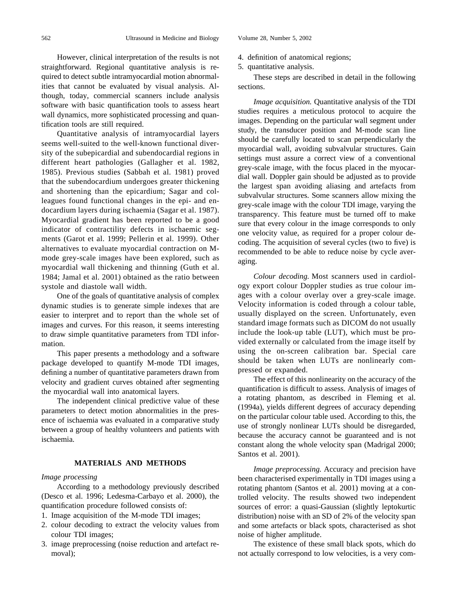However, clinical interpretation of the results is not straightforward. Regional quantitative analysis is required to detect subtle intramyocardial motion abnormalities that cannot be evaluated by visual analysis. Although, today, commercial scanners include analysis software with basic quantification tools to assess heart wall dynamics, more sophisticated processing and quantification tools are still required.

Quantitative analysis of intramyocardial layers seems well-suited to the well-known functional diversity of the subepicardial and subendocardial regions in different heart pathologies (Gallagher et al. 1982, 1985). Previous studies (Sabbah et al. 1981) proved that the subendocardium undergoes greater thickening and shortening than the epicardium; Sagar and colleagues found functional changes in the epi- and endocardium layers during ischaemia (Sagar et al. 1987). Myocardial gradient has been reported to be a good indicator of contractility defects in ischaemic segments (Garot et al. 1999; Pellerin et al. 1999). Other alternatives to evaluate myocardial contraction on Mmode grey-scale images have been explored, such as myocardial wall thickening and thinning (Guth et al. 1984; Jamal et al. 2001) obtained as the ratio between systole and diastole wall width.

One of the goals of quantitative analysis of complex dynamic studies is to generate simple indexes that are easier to interpret and to report than the whole set of images and curves. For this reason, it seems interesting to draw simple quantitative parameters from TDI information.

This paper presents a methodology and a software package developed to quantify M-mode TDI images, defining a number of quantitative parameters drawn from velocity and gradient curves obtained after segmenting the myocardial wall into anatomical layers.

The independent clinical predictive value of these parameters to detect motion abnormalities in the presence of ischaemia was evaluated in a comparative study between a group of healthy volunteers and patients with ischaemia.

# **MATERIALS AND METHODS**

## *Image processing*

According to a methodology previously described (Desco et al. 1996; Ledesma-Carbayo et al. 2000), the quantification procedure followed consists of:

- 1. Image acquisition of the M-mode TDI images;
- 2. colour decoding to extract the velocity values from colour TDI images;
- 3. image preprocessing (noise reduction and artefact removal);
- 4. definition of anatomical regions;
- 5. quantitative analysis.

These steps are described in detail in the following sections.

*Image acquisition.* Quantitative analysis of the TDI studies requires a meticulous protocol to acquire the images. Depending on the particular wall segment under study, the transducer position and M-mode scan line should be carefully located to scan perpendicularly the myocardial wall, avoiding subvalvular structures. Gain settings must assure a correct view of a conventional grey-scale image, with the focus placed in the myocardial wall. Doppler gain should be adjusted as to provide the largest span avoiding aliasing and artefacts from subvalvular structures. Some scanners allow mixing the grey-scale image with the colour TDI image, varying the transparency. This feature must be turned off to make sure that every colour in the image corresponds to only one velocity value, as required for a proper colour decoding. The acquisition of several cycles (two to five) is recommended to be able to reduce noise by cycle averaging.

*Colour decoding.* Most scanners used in cardiology export colour Doppler studies as true colour images with a colour overlay over a grey-scale image. Velocity information is coded through a colour table, usually displayed on the screen. Unfortunately, even standard image formats such as DICOM do not usually include the look-up table (LUT), which must be provided externally or calculated from the image itself by using the on-screen calibration bar. Special care should be taken when LUTs are nonlinearly compressed or expanded.

The effect of this nonlinearity on the accuracy of the quantification is difficult to assess. Analysis of images of a rotating phantom, as described in Fleming et al. (1994a), yields different degrees of accuracy depending on the particular colour table used. According to this, the use of strongly nonlinear LUTs should be disregarded, because the accuracy cannot be guaranteed and is not constant along the whole velocity span (Madrigal 2000; Santos et al. 2001).

*Image preprocessing.* Accuracy and precision have been characterised experimentally in TDI images using a rotating phantom (Santos et al. 2001) moving at a controlled velocity. The results showed two independent sources of error: a quasi-Gaussian (slightly leptokurtic distribution) noise with an SD of 2% of the velocity span and some artefacts or black spots, characterised as shot noise of higher amplitude.

The existence of these small black spots, which do not actually correspond to low velocities, is a very com-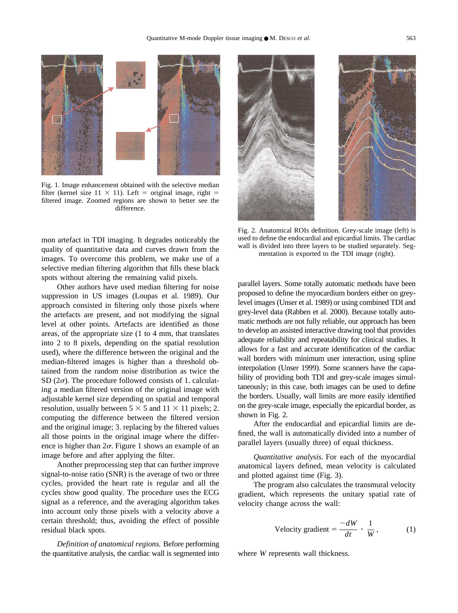

Fig. 1. Image enhancement obtained with the selective median filter (kernel size  $11 \times 11$ ). Left = original image, right = filtered image. Zoomed regions are shown to better see the difference.

mon artefact in TDI imaging. It degrades noticeably the quality of quantitative data and curves drawn from the images. To overcome this problem, we make use of a selective median filtering algorithm that fills these black spots without altering the remaining valid pixels.

Other authors have used median filtering for noise suppression in US images (Loupas et al. 1989). Our approach consisted in filtering only those pixels where the artefacts are present, and not modifying the signal level at other points. Artefacts are identified as those areas, of the appropriate size (1 to 4 mm, that translates into 2 to 8 pixels, depending on the spatial resolution used), where the difference between the original and the median-filtered images is higher than a threshold obtained from the random noise distribution as twice the SD ( $2\sigma$ ). The procedure followed consists of 1. calculating a median filtered version of the original image with adjustable kernel size depending on spatial and temporal resolution, usually between  $5 \times 5$  and  $11 \times 11$  pixels; 2. computing the difference between the filtered version and the original image; 3. replacing by the filtered values all those points in the original image where the difference is higher than  $2\sigma$ . Figure 1 shows an example of an image before and after applying the filter.

Another preprocessing step that can further improve signal-to-noise ratio (SNR) is the average of two or three cycles, provided the heart rate is regular and all the cycles show good quality. The procedure uses the ECG signal as a reference, and the averaging algorithm takes into account only those pixels with a velocity above a certain threshold; thus, avoiding the effect of possible residual black spots.

*Definition of anatomical regions.* Before performing the quantitative analysis, the cardiac wall is segmented into



Fig. 2. Anatomical ROIs definition. Grey-scale image (left) is used to define the endocardial and epicardial limits. The cardiac wall is divided into three layers to be studied separately. Segmentation is exported to the TDI image (right).

parallel layers. Some totally automatic methods have been proposed to define the myocardium borders either on greylevel images (Unser et al. 1989) or using combined TDI and grey-level data (Rabben et al. 2000). Because totally automatic methods are not fully reliable, our approach has been to develop an assisted interactive drawing tool that provides adequate reliability and repeatability for clinical studies. It allows for a fast and accurate identification of the cardiac wall borders with minimum user interaction, using spline interpolation (Unser 1999). Some scanners have the capability of providing both TDI and grey-scale images simultaneously; in this case, both images can be used to define the borders. Usually, wall limits are more easily identified on the grey-scale image, especially the epicardial border, as shown in Fig. 2.

After the endocardial and epicardial limits are defined, the wall is automatically divided into a number of parallel layers (usually three) of equal thickness.

*Quantitative analysis.* For each of the myocardial anatomical layers defined, mean velocity is calculated and plotted against time (Fig. 3).

The program also calculates the transmural velocity gradient, which represents the unitary spatial rate of velocity change across the wall:

Velocity gradient = 
$$
\frac{-dW}{dt} \cdot \frac{1}{W}
$$
, (1)

where *W* represents wall thickness.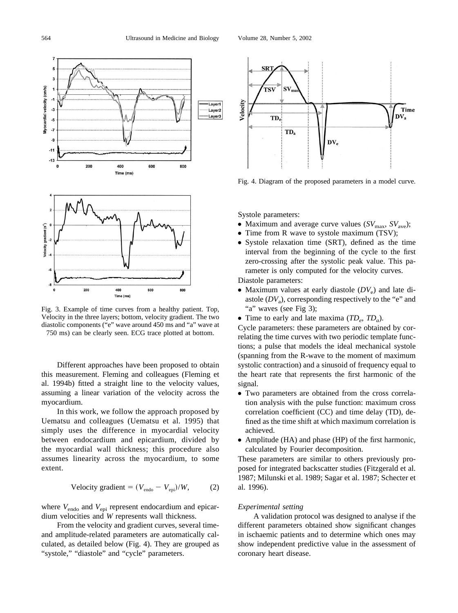

Fig. 3. Example of time curves from a healthy patient. Top, Velocity in the three layers; bottom, velocity gradient. The two diastolic components ("e" wave around 450 ms and "a" wave at 750 ms) can be clearly seen. ECG trace plotted at bottom.

Different approaches have been proposed to obtain this measurement. Fleming and colleagues (Fleming et al. 1994b) fitted a straight line to the velocity values, assuming a linear variation of the velocity across the myocardium.

In this work, we follow the approach proposed by Uematsu and colleagues (Uematsu et al. 1995) that simply uses the difference in myocardial velocity between endocardium and epicardium, divided by the myocardial wall thickness; this procedure also assumes linearity across the myocardium, to some extent.

Velocity gradient = 
$$
(V_{\text{endo}} - V_{\text{epi}})/W
$$
, (2)

where  $V_{\text{endo}}$  and  $V_{\text{epi}}$  represent endocardium and epicardium velocities and *W* represents wall thickness.

From the velocity and gradient curves, several timeand amplitude-related parameters are automatically calculated, as detailed below (Fig. 4). They are grouped as "systole," "diastole" and "cycle" parameters.



Fig. 4. Diagram of the proposed parameters in a model curve.

Systole parameters:

- Maximum and average curve values  $(SV_{\text{max}}, SV_{\text{ave}});$
- Time from R wave to systole maximum (TSV);
- Systole relaxation time (SRT), defined as the time interval from the beginning of the cycle to the first zero-crossing after the systolic peak value. This parameter is only computed for the velocity curves.

Diastole parameters:

- Maximum values at early diastole  $(DV_e)$  and late diastole  $(DV_a)$ , corresponding respectively to the "e" and "a" waves (see Fig 3);
- Time to early and late maxima  $(TD_{\rho}, TD_{a})$ .

Cycle parameters: these parameters are obtained by correlating the time curves with two periodic template functions; a pulse that models the ideal mechanical systole (spanning from the R-wave to the moment of maximum systolic contraction) and a sinusoid of frequency equal to the heart rate that represents the first harmonic of the signal.

- Two parameters are obtained from the cross correlation analysis with the pulse function: maximum cross correlation coefficient (CC) and time delay (TD), defined as the time shift at which maximum correlation is achieved.
- Amplitude (HA) and phase (HP) of the first harmonic, calculated by Fourier decomposition.

These parameters are similar to others previously proposed for integrated backscatter studies (Fitzgerald et al. 1987; Milunski et al. 1989; Sagar et al. 1987; Schecter et al. 1996).

# *Experimental setting*

A validation protocol was designed to analyse if the different parameters obtained show significant changes in ischaemic patients and to determine which ones may show independent predictive value in the assessment of coronary heart disease.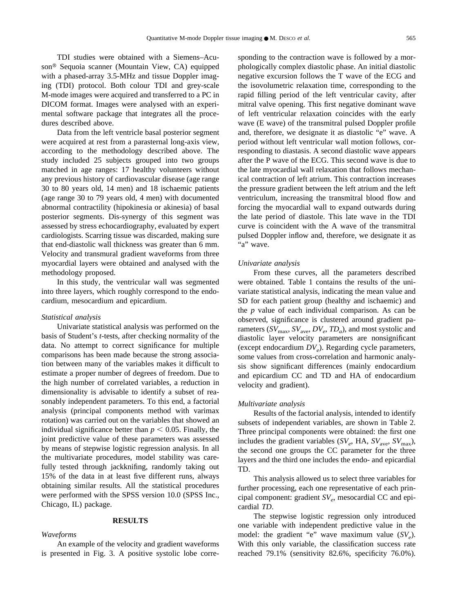TDI studies were obtained with a Siemens–Acuson<sup>®</sup> Sequoia scanner (Mountain View, CA) equipped with a phased-array 3.5-MHz and tissue Doppler imaging (TDI) protocol. Both colour TDI and grey-scale M-mode images were acquired and transferred to a PC in DICOM format. Images were analysed with an experimental software package that integrates all the procedures described above.

Data from the left ventricle basal posterior segment were acquired at rest from a parasternal long-axis view, according to the methodology described above. The study included 25 subjects grouped into two groups matched in age ranges: 17 healthy volunteers without any previous history of cardiovascular disease (age range 30 to 80 years old, 14 men) and 18 ischaemic patients (age range 30 to 79 years old, 4 men) with documented abnormal contractility (hipokinesia or akinesia) of basal posterior segments. Dis-synergy of this segment was assessed by stress echocardiography, evaluated by expert cardiologists. Scarring tissue was discarded, making sure that end-diastolic wall thickness was greater than 6 mm. Velocity and transmural gradient waveforms from three myocardial layers were obtained and analysed with the methodology proposed.

In this study, the ventricular wall was segmented into three layers, which roughly correspond to the endocardium, mesocardium and epicardium.

# *Statistical analysis*

Univariate statistical analysis was performed on the basis of Student's *t*-tests, after checking normality of the data. No attempt to correct significance for multiple comparisons has been made because the strong association between many of the variables makes it difficult to estimate a proper number of degrees of freedom. Due to the high number of correlated variables, a reduction in dimensionality is advisable to identify a subset of reasonably independent parameters. To this end, a factorial analysis (principal components method with varimax rotation) was carried out on the variables that showed an individual significance better than  $p < 0.05$ . Finally, the joint predictive value of these parameters was assessed by means of stepwise logistic regression analysis. In all the multivariate procedures, model stability was carefully tested through jackknifing, randomly taking out 15% of the data in at least five different runs, always obtaining similar results. All the statistical procedures were performed with the SPSS version 10.0 (SPSS Inc., Chicago, IL) package.

## **RESULTS**

#### *Waveforms*

An example of the velocity and gradient waveforms is presented in Fig. 3. A positive systolic lobe corresponding to the contraction wave is followed by a morphologically complex diastolic phase. An initial diastolic negative excursion follows the T wave of the ECG and the isovolumetric relaxation time, corresponding to the rapid filling period of the left ventricular cavity, after mitral valve opening. This first negative dominant wave of left ventricular relaxation coincides with the early wave (E wave) of the transmitral pulsed Doppler profile and, therefore, we designate it as diastolic "e" wave. A period without left ventricular wall motion follows, corresponding to diastasis. A second diastolic wave appears after the P wave of the ECG. This second wave is due to the late myocardial wall relaxation that follows mechanical contraction of left atrium. This contraction increases the pressure gradient between the left atrium and the left ventriculum, increasing the transmitral blood flow and forcing the myocardial wall to expand outwards during the late period of diastole. This late wave in the TDI curve is coincident with the A wave of the transmitral pulsed Doppler inflow and, therefore, we designate it as "a" wave.

#### *Univariate analysis*

From these curves, all the parameters described were obtained. Table 1 contains the results of the univariate statistical analysis, indicating the mean value and SD for each patient group (healthy and ischaemic) and the *p* value of each individual comparison. As can be observed, significance is clustered around gradient parameters ( $SV<sub>max</sub>$ ,  $SV<sub>ave</sub>$ ,  $DV<sub>e</sub>$ ,  $TD<sub>a</sub>$ ), and most systolic and diastolic layer velocity parameters are nonsignificant (except endocardium  $DV_e$ ). Regarding cycle parameters, some values from cross-correlation and harmonic analysis show significant differences (mainly endocardium and epicardium CC and TD and HA of endocardium velocity and gradient).

#### *Multivariate analysis*

Results of the factorial analysis, intended to identify subsets of independent variables, are shown in Table 2. Three principal components were obtained: the first one includes the gradient variables  $(SV_e, HA, SV_{ave}, SV_{max})$ , the second one groups the CC parameter for the three layers and the third one includes the endo- and epicardial TD.

This analysis allowed us to select three variables for further processing, each one representative of each principal component: gradient  $SV_e$ , mesocardial CC and epicardial *TD*.

The stepwise logistic regression only introduced one variable with independent predictive value in the model: the gradient "e" wave maximum value  $(V_e)$ . With this only variable, the classification success rate reached 79.1% (sensitivity 82.6%, specificity 76.0%).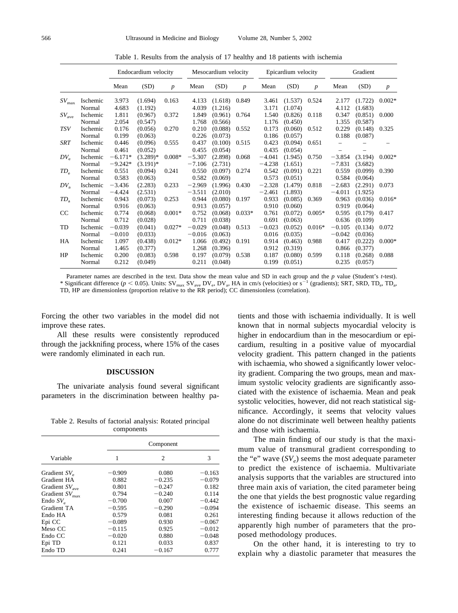|                   |          | Endocardium velocity |             | Mesocardium velocity |          |         | Epicardium velocity |          |         | Gradient         |          |         |                  |
|-------------------|----------|----------------------|-------------|----------------------|----------|---------|---------------------|----------|---------|------------------|----------|---------|------------------|
|                   |          | Mean                 | (SD)        | $\boldsymbol{p}$     | Mean     | (SD)    | $\boldsymbol{p}$    | Mean     | (SD)    | $\boldsymbol{p}$ | Mean     | (SD)    | $\boldsymbol{p}$ |
|                   | Ischemic | 3.973                | (1.694)     | 0.163                | 4.133    | (1.618) | 0.849               | 3.461    | (1.537) | 0.524            | 2.177    | (1.722) | $0.002*$         |
| $SV_{\rm max}$    | Normal   | 4.683                | (1.192)     |                      | 4.039    | (1.216) |                     | 3.171    | (1.074) |                  | 4.112    | (1.683) |                  |
| $SV_{\text{ave}}$ | Ischemic | 1.811                | (0.967)     | 0.372                | 1.849    | (0.961) | 0.764               | 1.540    | (0.826) | 0.118            | 0.347    | (0.851) | 0.000            |
|                   | Normal   | 2.054                | (0.547)     |                      | 1.768    | (0.566) |                     | 1.176    | (0.450) |                  | 1.355    | (0.587) |                  |
| <b>TSV</b>        | Ischemic | 0.176                | (0.056)     | 0.270                | 0.210    | (0.088) | 0.552               | 0.173    | (0.060) | 0.512            | 0.229    | (0.148) | 0.325            |
|                   | Normal   | 0.199                | (0.063)     |                      | 0.226    | (0.073) |                     | 0.186    | (0.057) |                  | 0.188    | (0.087) |                  |
| <b>SRT</b>        | Ischemic | 0.446                | (0.096)     | 0.555                | 0.437    | (0.100) | 0.515               | 0.423    | (0.094) | 0.651            |          |         |                  |
|                   | Normal   | 0.461                |             |                      | 0.455    | (0.054) |                     | 0.435    | (0.054) |                  |          |         |                  |
|                   |          | $-6.171*$            | (0.052)     | $0.008*$             | $-5.307$ |         | 0.068               | $-4.041$ |         | 0.750            | $-3.854$ | (3.194) | $0.002*$         |
| $DV_{\rm e}$      | Ischemic |                      | $(3.289)*$  |                      |          | (2.898) |                     |          | (1.945) |                  |          |         |                  |
|                   | Normal   | $-9.242*$            | $(3.191)^*$ |                      | $-7.106$ | (2.731) |                     | $-4.238$ | (1.651) |                  | $-7.831$ | (3.682) |                  |
| $TD_e$            | Ischemic | 0.551                | (0.094)     | 0.241                | 0.550    | (0.097) | 0.274               | 0.542    | (0.091) | 0.221            | 0.559    | (0.099) | 0.390            |
|                   | Normal   | 0.583                | (0.063)     |                      | 0.582    | (0.069) |                     | 0.573    | (0.051) |                  | 0.584    | (0.064) |                  |
| $DV_a$            | Ischemic | $-3.436$             | (2.283)     | 0.233                | $-2.969$ | (1.996) | 0.430               | $-2.328$ | (1.479) | 0.818            | $-2.683$ | (2.291) | 0.073            |
|                   | Normal   | $-4.424$             | (2.531)     |                      | $-3.511$ | (2.010) |                     | $-2.461$ | (1.893) |                  | $-4.011$ | (1.925) |                  |
| $TD_a$            | Ischemic | 0.943                | (0.073)     | 0.253                | 0.944    | (0.080) | 0.197               | 0.933    | (0.085) | 0.369            | 0.963    | (0.036) | $0.016*$         |
|                   | Normal   | 0.916                | (0.063)     |                      | 0.913    | (0.057) |                     | 0.910    | (0.060) |                  | 0.919    | (0.064) |                  |
| CC                | Ischemic | 0.774                | (0.068)     | $0.001*$             | 0.752    | (0.068) | $0.033*$            | 0.761    | (0.072) | $0.005*$         | 0.595    | (0.179) | 0.417            |
|                   | Normal   | 0.712                | (0.028)     |                      | 0.711    | (0.038) |                     | 0.691    | (0.063) |                  | 0.636    | (0.109) |                  |
| TD                | Ischemic | $-0.039$             | (0.041)     | $0.027*$             | $-0.029$ | (0.048) | 0.513               | $-0.023$ | (0.052) | $0.016*$         | $-0.105$ | (0.134) | 0.072            |
|                   | Normal   | $-0.010$             | (0.033)     |                      | $-0.016$ | (0.063) |                     | 0.016    | (0.035) |                  | $-0.042$ | (0.036) |                  |
| HA                | Ischemic | 1.097                | (0.438)     | $0.012*$             | 1.066    | (0.492) | 0.191               | 0.914    | (0.463) | 0.988            | 0.417    | (0.222) | $0.000*$         |
|                   | Normal   | 1.465                | (0.377)     |                      | 1.268    | (0.396) |                     | 0.912    | (0.319) |                  | 0.866    | (0.377) |                  |
| HP                | Ischemic | 0.200                | (0.083)     | 0.598                | 0.197    | (0.079) | 0.538               | 0.187    | (0.080) | 0.599            | 0.118    | (0.268) | 0.088            |
|                   | Normal   | 0.212                | (0.049)     |                      | 0.211    | (0.048) |                     | 0.199    | (0.051) |                  | 0.235    | (0.057) |                  |

Table 1. Results from the analysis of 17 healthy and 18 patients with ischemia

Parameter names are described in the text. Data show the mean value and SD in each group and the *p* value (Student's *t*-test). \* Significant difference ( $p < 0.05$ ). Units:  $SV_{\text{max}} SV_{\text{ave}} DV_{\text{e}}$ , DV<sub>n</sub>, HA in cm/s (velocities) or s<sup>-1</sup> (gradients); SRT, SRD, TD<sub>e</sub>, TD<sub>a</sub>, TD, HP are dimensionless (proportion relative to the RR period); CC dimensionless (correlation).

Forcing the other two variables in the model did not improve these rates.

All these results were consistently reproduced through the jackknifing process, where 15% of the cases were randomly eliminated in each run.

### **DISCUSSION**

The univariate analysis found several significant parameters in the discrimination between healthy pa-

Table 2. Results of factorial analysis: Rotated principal components

|                              | Component |          |          |  |  |  |  |
|------------------------------|-----------|----------|----------|--|--|--|--|
| Variable                     | 1         | 2        | 3        |  |  |  |  |
| Gradient $SV$ <sub>e</sub>   | $-0.909$  | 0.080    | $-0.163$ |  |  |  |  |
| Gradient HA                  | 0.882     | $-0.235$ | $-0.079$ |  |  |  |  |
| Gradient $SV$ <sub>ave</sub> | 0.801     | $-0.247$ | 0.182    |  |  |  |  |
| Gradient $SV_{\text{max}}$   | 0.794     | $-0.240$ | 0.114    |  |  |  |  |
| Endo $SV_a$                  | $-0.700$  | 0.007    | $-0.442$ |  |  |  |  |
| Gradient TA                  | $-0.595$  | $-0.290$ | $-0.094$ |  |  |  |  |
| Endo HA                      | 0.579     | 0.081    | 0.261    |  |  |  |  |
| Epi CC                       | $-0.089$  | 0.930    | $-0.067$ |  |  |  |  |
| Meso CC                      | $-0.115$  | 0.925    | $-0.012$ |  |  |  |  |
| Endo CC                      | $-0.020$  | 0.880    | $-0.048$ |  |  |  |  |
| Epi TD                       | 0.121     | 0.033    | 0.837    |  |  |  |  |
| Endo TD                      | 0.241     | $-0.167$ | 0.777    |  |  |  |  |

tients and those with ischaemia individually. It is well known that in normal subjects myocardial velocity is higher in endocardium than in the mesocardium or epicardium, resulting in a positive value of myocardial velocity gradient. This pattern changed in the patients with ischaemia, who showed a significantly lower velocity gradient. Comparing the two groups, mean and maximum systolic velocity gradients are significantly associated with the existence of ischaemia. Mean and peak systolic velocities, however, did not reach statistical significance. Accordingly, it seems that velocity values alone do not discriminate well between healthy patients and those with ischaemia.

The main finding of our study is that the maximum value of transmural gradient corresponding to the "e" wave  $(SV_e)$  seems the most adequate parameter to predict the existence of ischaemia. Multivariate analysis supports that the variables are structured into three main axis of variation, the cited parameter being the one that yields the best prognostic value regarding the existence of ischaemic disease. This seems an interesting finding because it allows reduction of the apparently high number of parameters that the proposed methodology produces.

On the other hand, it is interesting to try to explain why a diastolic parameter that measures the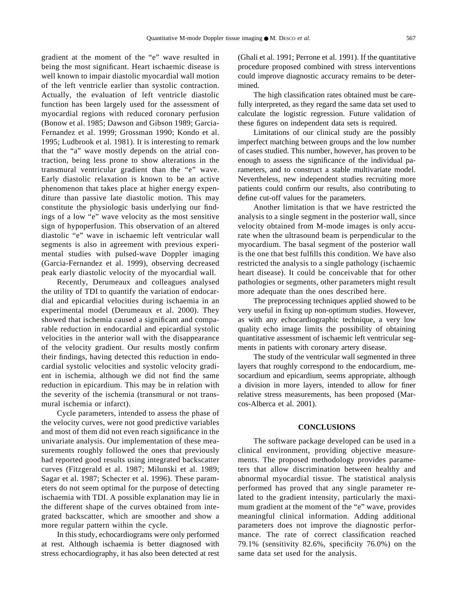gradient at the moment of the "e" wave resulted in being the most significant. Heart ischaemic disease is well known to impair diastolic myocardial wall motion of the left ventricle earlier than systolic contraction. Actually, the evaluation of left ventricle diastolic function has been largely used for the assessment of myocardial regions with reduced coronary perfusion (Bonow et al. 1985; Dawson and Gibson 1989; Garcia-Fernandez et al. 1999; Grossman 1990; Kondo et al. 1995; Ludbrook et al. 1981). It is interesting to remark that the "a" wave mostly depends on the atrial contraction, being less prone to show alterations in the transmural ventricular gradient than the "e" wave. Early diastolic relaxation is known to be an active phenomenon that takes place at higher energy expenditure than passive late diastolic motion. This may constitute the physiologic basis underlying our findings of a low "e" wave velocity as the most sensitive sign of hypoperfusion. This observation of an altered diastolic "e" wave in ischaemic left ventricular wall segments is also in agreement with previous experimental studies with pulsed-wave Doppler imaging (Garcia-Fernandez et al. 1999), observing decreased peak early diastolic velocity of the myocardial wall.

Recently, Derumeaux and colleagues analysed the utility of TDI to quantify the variation of endocardial and epicardial velocities during ischaemia in an experimental model (Derumeaux et al. 2000). They showed that ischemia caused a significant and comparable reduction in endocardial and epicardial systolic velocities in the anterior wall with the disappearance of the velocity gradient. Our results mostly confirm their findings, having detected this reduction in endocardial systolic velocities and systolic velocity gradient in ischemia, although we did not find the same reduction in epicardium. This may be in relation with the severity of the ischemia (transmural or not transmural ischemia or infarct).

Cycle parameters, intended to assess the phase of the velocity curves, were not good predictive variables and most of them did not even reach significance in the univariate analysis. Our implementation of these measurements roughly followed the ones that previously had reported good results using integrated backscatter curves (Fitzgerald et al. 1987; Milunski et al. 1989; Sagar et al. 1987; Schecter et al. 1996). These parameters do not seem optimal for the purpose of detecting ischaemia with TDI. A possible explanation may lie in the different shape of the curves obtained from integrated backscatter, which are smoother and show a more regular pattern within the cycle.

In this study, echocardiograms were only performed at rest. Although ischaemia is better diagnosed with stress echocardiography, it has also been detected at rest

(Ghali et al. 1991; Perrone et al. 1991). If the quantitative procedure proposed combined with stress interventions could improve diagnostic accuracy remains to be determined.

The high classification rates obtained must be carefully interpreted, as they regard the same data set used to calculate the logistic regression. Future validation of these figures on independent data sets is required.

Limitations of our clinical study are the possibly imperfect matching between groups and the low number of cases studied. This number, however, has proven to be enough to assess the significance of the individual parameters, and to construct a stable multivariate model. Nevertheless, new independent studies recruiting more patients could confirm our results, also contributing to define cut-off values for the parameters.

Another limitation is that we have restricted the analysis to a single segment in the posterior wall, since velocity obtained from M-mode images is only accurate when the ultrasound beam is perpendicular to the myocardium. The basal segment of the posterior wall is the one that best fulfills this condition. We have also restricted the analysis to a single pathology (ischaemic heart disease). It could be conceivable that for other pathologies or segments, other parameters might result more adequate than the ones described here.

The preprocessing techniques applied showed to be very useful in fixing up non-optimum studies. However, as with any echocardiographic technique, a very low quality echo image limits the possibility of obtaining quantitative assessment of ischaemic left ventricular segments in patients with coronary artery disease.

The study of the ventricular wall segmented in three layers that roughly correspond to the endocardium, mesocardium and epicardium, seems appropriate, although a division in more layers, intended to allow for finer relative stress measurements, has been proposed (Marcos-Alberca et al. 2001).

# **CONCLUSIONS**

The software package developed can be used in a clinical environment, providing objective measurements. The proposed methodology provides parameters that allow discrimination between healthy and abnormal myocardial tissue. The statistical analysis performed has proved that any single parameter related to the gradient intensity, particularly the maximum gradient at the moment of the "e" wave, provides meaningful clinical information. Adding additional parameters does not improve the diagnostic performance. The rate of correct classification reached 79.1% (sensitivity 82.6%, specificity 76.0%) on the same data set used for the analysis.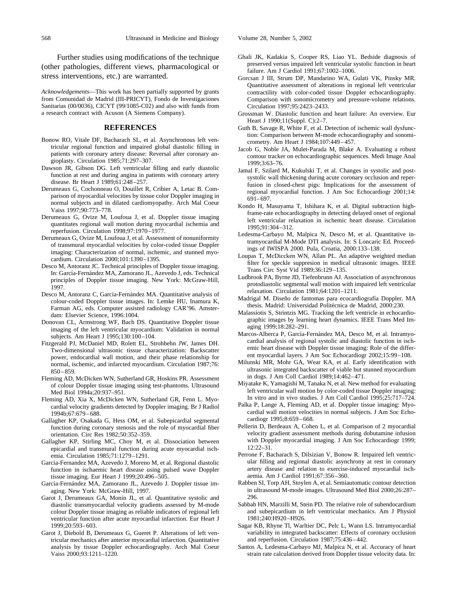Further studies using modifications of the technique (other pathologies, different views, pharmacological or stress interventions, etc.) are warranted.

*Acknowledgements*—This work has been partially supported by grants from Comunidad de Madrid (III-PRICYT), Fondo de Investigaciones Sanitarias (00/0036), CICYT (99/1085-C02) and also with funds from a research contract with Acuson (A Siemens Company).

### **REFERENCES**

- Bonow RO, Vitale DF, Bacharach SL, et al. Asynchronous left ventricular regional function and impaired global diastolic filling in patients with coronary artery disease: Reversal after coronary angioplasty. Circulation 1985;71:297–307.
- Dawson JR, Gibson DG. Left ventricular filling and early diastolic function at rest and during angina in patients with coronary artery disease. Br Heart J 1989;61:248–257.
- Derumeaux G, Cochonneau O, Douillet R, Cribier A, Letac B. Comparison of myocardial velocities by tissue color Doppler imaging in normal subjects and in dilated cardiomyopathy. Arch Mal Coeur Vaiss 1997;90:773–778.
- Derumeaux G, Ovize M, Loufoua J, et al. Doppler tissue imaging quantitates regional wall motion during myocardial ischemia and reperfusion. Circulation 1998;97:1970–1977.
- Derumeaux G, Ovize M, Loufoua J, et al. Assessment of nonuniformity of transmural myocardial velocities by color-coded tissue Doppler imaging: Characterization of normal, ischemic, and stunned myocardium. Circulation 2000;101:1390–1395.
- Desco M, Antoranz JC. Technical principles of Doppler tissue imaging. In: García-Fernández MA, Zamorano JL, Azevedo J, eds. Technical principles of Doppler tissue imaging. New York: McGraw-Hill, 1997.
- Desco M, Antoranz C, García-Fernández MA. Quantitative analysis of colour-coded Doppler tissue images. In: Lemke HU, Inamura K, Farman AG, eds. Computer assisted radiology CAR'96. Amsterdam: Elsevier Science, 1996:1004.
- Donovan CL, Armstrong WF, Bach DS. Quantitative Doppler tissue imaging of the left ventricular myocardium: Validation in normal subjects. Am Heart J 1995;130:100–104.
- Fitzgerald PJ, McDaniel MD, Rolett EL, Strohbehn JW, James DH. Two-dimensional ultrasonic tissue characterization: Backscatter power, endocardial wall motion, and their phase relationship for normal, ischemic, and infarcted myocardium. Circulation 1987;76: 850–859.
- Fleming AD, McDicken WN, Sutherland GR, Hoskins PR. Assessment of colour Doppler tissue imaging using test-phantoms. Ultrasound Med Biol 1994a;20:937–951.
- Fleming AD, Xia X, McDicken WN, Sutherland GR, Fenn L. Myocardial velocity gradients detected by Doppler imaging. Br J Radiol 1994b;67:679–688.
- Gallagher KP, Osakada G, Hess OM, et al. Subepicardial segmental function during coronary stenosis and the role of myocardial fiber orientation. Circ Res 1982;50:352–359.
- Gallagher KP, Stirling MC, Choy M, et al. Dissociation between epicardial and transmural function during acute myocardial ischemia. Circulation 1985;71:1279–1291.
- Garcia-Fernandez MA, Azevedo J, Moreno M, et al. Regional diastolic function in ischaemic heart disease using pulsed wave Doppler tissue imaging. Eur Heart J 1999;20:496–505.
- García-Fernández MA, Zamorano JL, Azevedo J. Doppler tissue imaging. New York: McGraw-Hill, 1997.
- Garot J, Derumeaux GA, Monin JL, et al. Quantitative systolic and diastolic transmyocardial velocity gradients assessed by M-mode colour Doppler tissue imaging as reliable indicators of regional left ventricular function after acute myocardial infarction. Eur Heart J 1999;20:593–603.
- Garot J, Diebold B, Derumeaux G, Gueret P. Alterations of left ventricular mechanics after anterior myocardial infarction. Quantitative analysis by tissue Doppler echocardiography. Arch Mal Coeur Vaiss 2000;93:1211–1220.
- Ghali JK, Kadakia S, Cooper RS, Liao YL. Bedside diagnosis of preserved versus impaired left ventricular systolic function in heart failure. Am J Cardiol 1991;67:1002–1006.
- Gorcsan J III, Strum DP, Mandarino WA, Gulati VK, Pinsky MR. Quantitative assessment of alterations in regional left ventricular contractility with color-coded tissue Doppler echocardiography. Comparison with sonomicrometry and pressure-volume relations. Circulation 1997;95:2423–2433.
- Grossman W. Diastolic function and heart failure: An overview. Eur Heart J 1990;11(Suppl. C):2–7.
- Guth B, Savage R, White F, et al. Detection of ischemic wall dysfunction: Comparison between M-mode echocardiography and sonomicrometry. Am Heart J 1984;107:449–457.
- Jacob G, Noble JA, Mulet-Parada M, Blake A. Evaluating a robust contour tracker on echocardiographic sequences. Medi Image Anal 1999;3:63–76.
- Jamal F, Szilard M, Kukulski T, et al. Changes in systolic and postsystolic wall thickening during acute coronary occlusion and reperfusion in closed-chest pigs: Implications for the assessment of regional myocardial function. J Am Soc Echocardiogr 2001;14: 691–697.
- Kondo H, Masuyama T, Ishihara K, et al. Digital subtraction highframe-rate echocardiography in detecting delayed onset of regional left ventricular relaxation in ischemic heart disease. Circulation 1995;91:304–312.
- Ledesma-Carbayo M, Malpica N, Desco M, et al. Quantitative intramyocardial M-Mode DTI analysis. In: S Loncaric Ed. Proceedings of IWISPA 2000. Pula, Croatia, 2000:133–138.
- Loupas T, McDiccken WN, Allan PL. An adaptive weighted median filter for speckle suppresion in medical ultrasonic images. IEEE Trans Circ Syst Vid 1989;36:129–135.
- Ludbrook PA, Byrne JD, Tiefenbrunn AJ. Association of asynchronous protodiastolic segmental wall motion with impaired left ventricular relaxation. Circulation 1981;64:1201–1211.
- Madrigal M. Diseño de fantomas para ecocardiografía Doppler. MA thesis. Madrid: Universidad Politécnica de Madrid, 2000:230.
- Malassiotis S, Strintzis MG. Tracking the left ventricle in echocardiographic images by learning heart dynamics. IEEE Trans Med Imaging 1999;18:282–291.
- Marcos-Alberca P, García-Fernández MA, Desco M, et al. Intramyocardial analysis of regional systolic and diastolic function in ischemic heart disease with Doppler tissue imaging: Role of the different myocardial layers. J Am Soc Echocardiogr 2002;15:99–108.
- Milunski MR, Mohr GA, Wear KA, et al. Early identification with ultrasonic integrated backscatter of viable but stunned myocardium in dogs. J Am Coll Cardiol 1989;14:462–471.
- Miyatake K, Yamagishi M, Tanaka N, et al. New method for evaluating left ventricular wall motion by color-coded tissue Doppler imaging: In vitro and in vivo studies. J Am Coll Cardiol 1995;25:717–724.
- Palka P, Lange A, Fleming AD, et al. Doppler tissue imaging: Myocardial wall motion velocities in normal subjects. J Am Soc Echocardiogr 1995;8:659–668.
- Pellerin D, Berdeaux A, Cohen L, et al. Comparison of 2 myocardial velocity gradient assessment methods during dobutamine infusion with Doppler myocardial imaging. J Am Soc Echocardiogr 1999; 12:22–31.
- Perrone F, Bacharach S, Dilsizian V, Bonow R. Impaired left ventricular filling and regional diastolic asynchrony at rest in coronary artery disease and relation to exercise-induced myocardial ischaemia. Am J Cardiol 1991;67:356–360.
- Rabben SI, Torp AH, Stoylen A, et al. Semiautomatic contour detection in ultrasound M-mode images. Ultrasound Med Biol 2000;26:287– 296.
- Sabbah HN, Marzilli M, Stein PD. The relative role of subendocardium and subepicardium in left ventricular mechanics. Am J Physiol 1981;240:H920–H926.
- Sagar KB, Rhyne Tl, Warltier DC, Pelc L, Wann LS. Intramyocardial variability in integrated backscatter: Effects of coronary occlusion and reperfusion. Circulation 1987;75:436–442.
- Santos A, Ledesma-Carbayo MJ, Malpica N, et al. Accuracy of heart strain rate calculation derived from Doppler tissue velocity data. In: